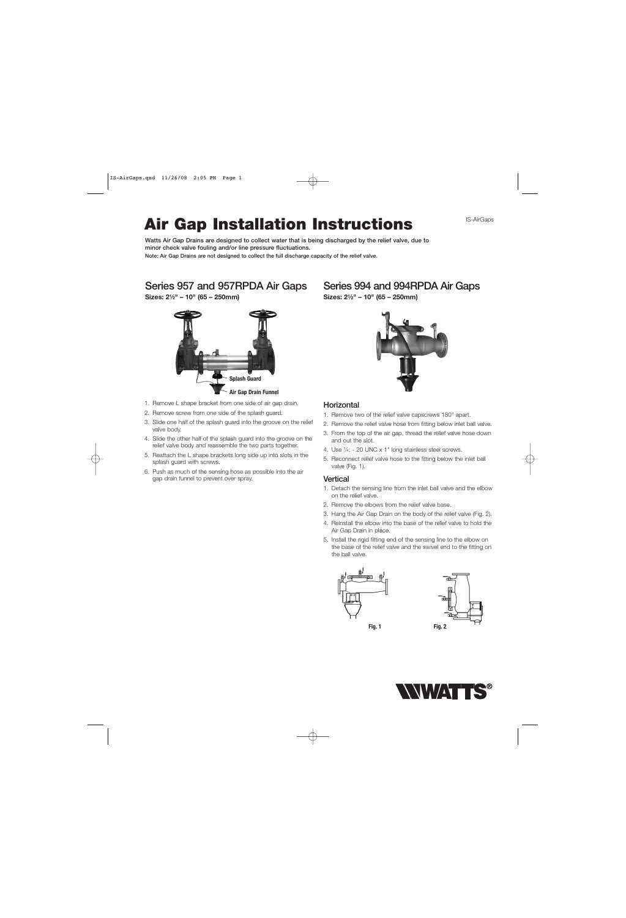# **Air Gap Installation Instructions**

**Watts Air Gap Drains are designed to collect water that is being discharged by the relief valve, due to minor check valve fouling and/or line pressure fluctuations.**

**Note: Air Gap Drains are not designed to collect the full discharge capacity of the relief valve.**

### **Series 957 and 957RPDA Air Gaps**

**Sizes: 21⁄2" – 10" (65 – 250mm)**



- 1. Remove L shape bracket from one side of air gap drain.
- 2. Remove screw from one side of the splash guard.
- 3. Slide one half of the splash guard into the groove on the relief valve body.
- 4. Slide the other half of the splash guard into the groove on the relief valve body and reassemble the two parts together.
- 5. Reattach the L shape brackets long side up into slots in the splash guard with screws.
- 6. Push as much of the sensing hose as possible into the air gap drain funnel to prevent over spray.

# **Series 994 and 994RPDA Air Gaps**

**Sizes: 21⁄2" – 10" (65 – 250mm)**



#### **Horizontal**

- 1. Remove two of the relief valve capscrews 180° apart.
- 2. Remove the relief valve hose from fitting below inlet ball valve.
- 3. From the top of the air gap, thread the relief valve hose down and out the slot.
- 4. Use 1⁄4: 20 UNC x 1" long stainless steel screws.
- 5. Reconnect relief valve hose to the fitting below the inlet ball valve (Fig. 1).

#### **Vertical**

- 1. Detach the sensing line from the inlet ball valve and the elbow on the relief valve.
- 2. Remove the elbows from the relief valve base.
- 3. Hang the Air Gap Drain on the body of the relief valve (Fig. 2).
- 4. Reinstall the elbow into the base of the relief valve to hold the Air Gap Drain in place.
- 5. Install the rigid fitting end of the sensing line to the elbow on the base of the relief valve and the swivel end to the fitting on the ball valve.